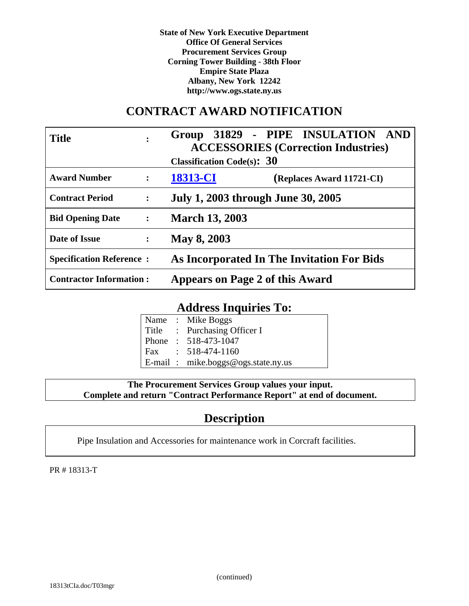**State of New York Executive Department Office Of General Services Procurement Services Group Corning Tower Building - 38th Floor Empire State Plaza Albany, New York 12242 http://www.ogs.state.ny.us**

# **CONTRACT AWARD NOTIFICATION**

| <b>Title</b><br>$\bullet$                | Group 31829 - PIPE INSULATION AND<br><b>ACCESSORIES (Correction Industries)</b><br><b>Classification Code(s): <math>30</math></b> |
|------------------------------------------|-----------------------------------------------------------------------------------------------------------------------------------|
| <b>Award Number</b><br>$\ddot{\cdot}$    | 18313-CI<br>(Replaces Award 11721-CI)                                                                                             |
| <b>Contract Period</b><br>$\ddot{\cdot}$ | July 1, 2003 through June 30, 2005                                                                                                |
| Bid Opening Date :                       | <b>March 13, 2003</b>                                                                                                             |
| Date of Issue<br>$\ddot{\cdot}$          | May 8, 2003                                                                                                                       |
| <b>Specification Reference:</b>          | As Incorporated In The Invitation For Bids                                                                                        |
| <b>Contractor Information:</b>           | Appears on Page 2 of this Award                                                                                                   |

# **Address Inquiries To:**

|  | Name: Mike Boggs                   |
|--|------------------------------------|
|  | Title : Purchasing Officer I       |
|  | Phone: 518-473-1047                |
|  | Fax: $518-474-1160$                |
|  | E-mail: mike.boggs@ogs.state.ny.us |

# **The Procurement Services Group values your input. Complete and return "Contract Performance Report" at end of document.**

# **Description**

Pipe Insulation and Accessories for maintenance work in Corcraft facilities.

PR # 18313-T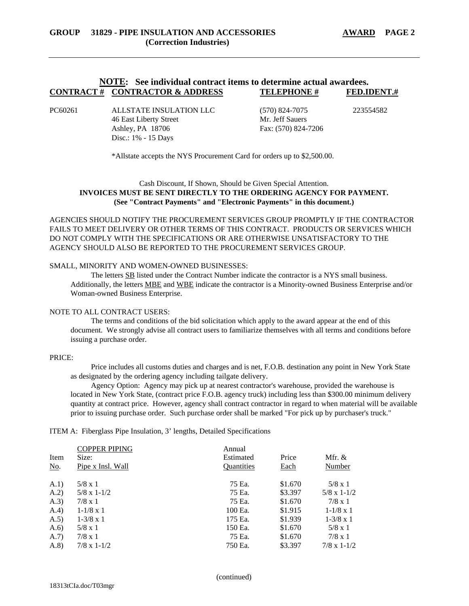# **NOTE: See individual contract items to determine actual awardees. CONTRACT # CONTRACTOR & ADDRESS TELEPHONE # FED.IDENT.#**

PC60261 ALLSTATE INSULATION LLC (570) 824-7075 223554582 46 East Liberty Street Mr. Jeff Sauers Ashley, PA 18706 Fax: (570) 824-7206 Disc.: 1% - 15 Days

\*Allstate accepts the NYS Procurement Card for orders up to \$2,500.00.

# Cash Discount, If Shown, Should be Given Special Attention. **INVOICES MUST BE SENT DIRECTLY TO THE ORDERING AGENCY FOR PAYMENT. (See "Contract Payments" and "Electronic Payments" in this document.)**

AGENCIES SHOULD NOTIFY THE PROCUREMENT SERVICES GROUP PROMPTLY IF THE CONTRACTOR FAILS TO MEET DELIVERY OR OTHER TERMS OF THIS CONTRACT. PRODUCTS OR SERVICES WHICH DO NOT COMPLY WITH THE SPECIFICATIONS OR ARE OTHERWISE UNSATISFACTORY TO THE AGENCY SHOULD ALSO BE REPORTED TO THE PROCUREMENT SERVICES GROUP.

#### SMALL, MINORITY AND WOMEN-OWNED BUSINESSES:

The letters SB listed under the Contract Number indicate the contractor is a NYS small business. Additionally, the letters MBE and WBE indicate the contractor is a Minority-owned Business Enterprise and/or Woman-owned Business Enterprise.

#### NOTE TO ALL CONTRACT USERS:

The terms and conditions of the bid solicitation which apply to the award appear at the end of this document. We strongly advise all contract users to familiarize themselves with all terms and conditions before issuing a purchase order.

#### PRICE:

Price includes all customs duties and charges and is net, F.O.B. destination any point in New York State as designated by the ordering agency including tailgate delivery.

Agency Option: Agency may pick up at nearest contractor's warehouse, provided the warehouse is located in New York State, (contract price F.O.B. agency truck) including less than \$300.00 minimum delivery quantity at contract price. However, agency shall contract contractor in regard to when material will be available prior to issuing purchase order. Such purchase order shall be marked "For pick up by purchaser's truck."

ITEM A: Fiberglass Pipe Insulation, 3' lengths, Detailed Specifications

|       | <b>COPPER PIPING</b> | Annual            |         |                      |
|-------|----------------------|-------------------|---------|----------------------|
| Item  | Size:                | Estimated         | Price   | Mfr. $&$             |
| No.   | Pipe x Insl. Wall    | <b>Quantities</b> | Each    | Number               |
| (A.1) | $5/8 \times 1$       | 75 Ea.            | \$1.670 | $5/8 \times 1$       |
| (A.2) | $5/8 \times 1 - 1/2$ | 75 Ea.            | \$3.397 | $5/8 \times 1 - 1/2$ |
| (A.3) | $7/8 \times 1$       | 75 Ea.            | \$1.670 | $7/8 \times 1$       |
| (A.4) | $1 - 1/8 \times 1$   | 100 Ea.           | \$1.915 | $1 - 1/8 \times 1$   |
| (A.5) | $1-3/8 \times 1$     | 175 Ea.           | \$1.939 | $1-3/8 \times 1$     |
| (A.6) | $5/8 \times 1$       | 150 Ea.           | \$1.670 | $5/8 \times 1$       |
| (A.7) | $7/8 \times 1$       | 75 Ea.            | \$1.670 | $7/8 \times 1$       |
| (A.8) | $7/8 \times 1 - 1/2$ | 750 Ea.           | \$3.397 | $7/8 \times 1 - 1/2$ |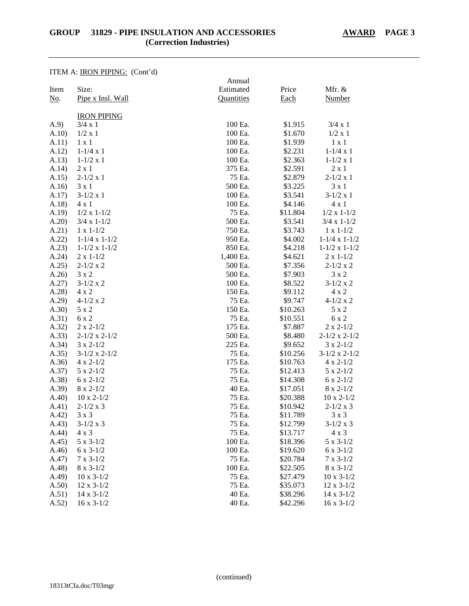ITEM A: IRON PIPING: (Cont'd)

|             | <b>TEM A. INVITED TO.</b> (COM $u$ ) | Annual     |          |                          |
|-------------|--------------------------------------|------------|----------|--------------------------|
| Item        | Size:                                | Estimated  | Price    | Mfr. &                   |
| <u>No</u> . | Pipe x Insl. Wall                    | Quantities | Each     | <b>Number</b>            |
|             |                                      |            |          |                          |
|             | <b>IRON PIPING</b>                   |            |          |                          |
| (A.9)       | $3/4 \times 1$                       | 100 Ea.    | \$1.915  | $3/4 \times 1$           |
| A.10)       | $1/2 \times 1$                       | 100 Ea.    | \$1.670  | 1/2 x 1                  |
| A.11)       | $1 \times 1$                         | 100 Ea.    | \$1.939  | $1 \times 1$             |
| A.12)       | $1-1/4 x 1$                          | 100 Ea.    | \$2.231  | $1 - 1/4 x 1$            |
| A.13)       | $1 - 1/2 \times 1$                   | 100 Ea.    | \$2.363  | $1 - 1/2 x 1$            |
| A.14)       | $2 \times 1$                         | 375 Ea.    | \$2.591  | $2 \times 1$             |
| A.15)       | $2-1/2 \times 1$                     | 75 Ea.     | \$2.879  | $2 - 1/2 x 1$            |
| A.16)       | $3 \times 1$                         | 500 Ea.    | \$3.225  | $3 \times 1$             |
| A.17)       | $3-1/2 \times 1$                     | 100 Ea.    | \$3.541  | $3-1/2 \times 1$         |
| A.18        | $4 \times 1$                         | 100 Ea.    | \$4.146  | 4 x 1                    |
| A.19)       | $1/2 \times 1 - 1/2$                 | 75 Ea.     | \$11.804 | $1/2 \times 1 - 1/2$     |
| A.20        | $3/4 \times 1 - 1/2$                 | 500 Ea.    | \$3.541  | $3/4 \times 1 - 1/2$     |
| A.21)       | $1 \times 1 - 1/2$                   | 750 Ea.    | \$3.743  | $1 \times 1 - 1/2$       |
| A.22)       | $1-1/4 \times 1-1/2$                 | 950 Ea.    | \$4.002  | $1-1/4 \times 1-1/2$     |
| A.23)       | $1-1/2 \times 1-1/2$                 | 850 Ea.    | \$4.218  | $1 - 1/2 \times 1 - 1/2$ |
| A.24)       | $2 \times 1 - 1/2$                   | 1,400 Ea.  | \$4.621  | $2 \times 1 - 1/2$       |
| A.25        | $2-1/2 x 2$                          | 500 Ea.    | \$7.356  | $2-1/2 x 2$              |
| A.26        | 3 x 2                                | 500 Ea.    | \$7.903  | $3 \times 2$             |
| A.27)       | $3-1/2 \times 2$                     | 100 Ea.    | \$8.522  | $3-1/2 \times 2$         |
| A.28        | $4 \times 2$                         | 150 Ea.    | \$9.112  | $4 \times 2$             |
| A.29        | $4-1/2 \times 2$                     | 75 Ea.     | \$9.747  | $4-1/2 \times 2$         |
| (A.30)      | 5 x 2                                | 150 Ea.    | \$10.263 | 5 x 2                    |
| A.31)       | 6 x 2                                | 75 Ea.     | \$10.551 | 6 x 2                    |
| A.32)       | $2 \times 2 - 1/2$                   | 175 Ea.    | \$7.887  | $2 \times 2 - 1/2$       |
| A.33)       | $2-1/2 \times 2-1/2$                 | 500 Ea.    | \$8.480  | $2-1/2 \times 2-1/2$     |
| A.34)       | $3 \times 2 - 1/2$                   | 225 Ea.    | \$9.652  | $3 \times 2 - 1/2$       |
| A.35)       | $3-1/2 \times 2-1/2$                 | 75 Ea.     | \$10.256 | $3-1/2 \times 2-1/2$     |
| A.36)       | $4 \times 2 - 1/2$                   | 175 Ea.    | \$10.763 | $4 \times 2 - 1/2$       |
| A.37)       | $5 \times 2 - 1/2$                   | 75 Ea.     | \$12.413 | $5 \times 2 - 1/2$       |
| (A.38)      | $6 \times 2 - 1/2$                   | 75 Ea.     | \$14.308 | $6 \times 2 - 1/2$       |
| (A.39)      | $8 \times 2 - 1/2$                   | 40 Ea.     | \$17.051 | $8 \times 2 - 1/2$       |
| A.40        | $10 \times 2 - 1/2$                  | 75 Ea.     | \$20.388 | $10 \times 2 - 1/2$      |
| A.41)       | $2-1/2 \times 3$                     | 75 Ea.     | \$10.942 | $2-1/2 \times 3$         |
| (A.42)      | $3 \times 3$                         | 75 Ea.     | \$11.789 | $3 \times 3$             |
| A.43)       | $3-1/2 \times 3$                     | 75 Ea.     | \$12.799 | $3-1/2 \times 3$         |
| A.44)       | $4 \times 3$                         | 75 Ea.     | \$13.717 | $4 \times 3$             |
| A.45)       | $5 \times 3 - 1/2$                   | 100 Ea.    | \$18.396 | $5 \times 3 - 1/2$       |
| A.46)       | $6 \times 3 - 1/2$                   | 100 Ea.    | \$19.620 | $6 \times 3 - 1/2$       |
| A.47)       | $7 \times 3 - 1/2$                   | 75 Ea.     | \$20.784 | $7 \times 3 - 1/2$       |
| (A.48)      | $8 \times 3 - 1/2$                   | 100 Ea.    | \$22.505 | $8 \times 3 - 1/2$       |
| A.49)       | $10 \times 3 - 1/2$                  | 75 Ea.     | \$27.479 | $10 \times 3 - 1/2$      |
| A.50)       | $12 \times 3 - 1/2$                  | 75 Ea.     | \$35.073 | $12 \times 3 - 1/2$      |
| A.51)       | $14 \times 3 - 1/2$                  | 40 Ea.     | \$38.296 | $14 \times 3 - 1/2$      |
| A.52)       | $16 \times 3 - 1/2$                  | 40 Ea.     | \$42.296 | $16 \times 3 - 1/2$      |
|             |                                      |            |          |                          |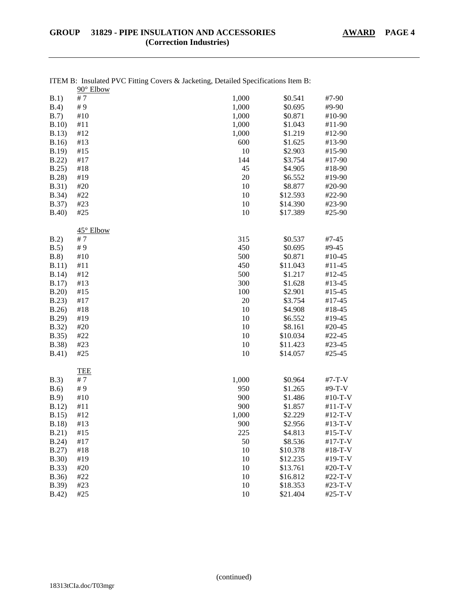|               | 90° Elbow  |       |          |           |
|---------------|------------|-------|----------|-----------|
| B.1)          | #7         | 1,000 | \$0.541  | #7-90     |
| B.4)          | #9         | 1,000 | \$0.695  | #9-90     |
| B.7)          | $\#10$     | 1,000 | \$0.871  | #10-90    |
| B.10)         | #11        | 1,000 | \$1.043  | #11-90    |
| B.13)         | #12        | 1,000 | \$1.219  | #12-90    |
| B.16          | #13        | 600   | \$1.625  | #13-90    |
| B.19          | #15        | 10    | \$2.903  | #15-90    |
| B.22)         | #17        | 144   | \$3.754  | #17-90    |
| B.25          | #18        | 45    | \$4.905  | #18-90    |
| B.28          | #19        | 20    | \$6.552  | #19-90    |
| <b>B.31</b> ) | #20        | 10    | \$8.877  | #20-90    |
| B.34)         | #22        | 10    | \$12.593 | #22-90    |
| B.37)         | #23        | 10    | \$14.390 | #23-90    |
| B.40)         | #25        | 10    | \$17.389 | #25-90    |
|               | 45° Elbow  |       |          |           |
| B.2)          | #7         | 315   | \$0.537  | #7-45     |
| B.5)          | #9         | 450   | \$0.695  | #9-45     |
| B.8)          | #10        | 500   | \$0.871  | $#10-45$  |
| B.11)         | #11        | 450   | \$11.043 | #11-45    |
| B.14)         | #12        | 500   | \$1.217  | #12-45    |
| B.17)         | #13        | 300   | \$1.628  | #13-45    |
| B.20          | #15        | 100   | \$2.901  | #15-45    |
| B.23)         | #17        | 20    | \$3.754  | #17-45    |
| B.26          | #18        | 10    | \$4.908  | #18-45    |
| B.29          | #19        | 10    | \$6.552  | #19-45    |
| <b>B.32</b> ) | #20        | 10    | \$8.161  | #20-45    |
| B.35)         | #22        | 10    | \$10.034 | #22-45    |
| B.38)         | #23        | 10    | \$11.423 | #23-45    |
| <b>B.41</b> ) | #25        | 10    | \$14.057 | #25-45    |
|               | <b>TEE</b> |       |          |           |
| B.3)          | #7         | 1,000 | \$0.964  | #7-T-V    |
| B.6)          | #9         | 950   | \$1.265  | #9-T-V    |
| B.9)          | $\#10$     | 900   | \$1.486  | $#10-T-V$ |
| B.12)         | #11        | 900   | \$1.857  | #11-T-V   |
| B.15          | $\#12$     | 1,000 | \$2.229  | #12-T-V   |
| B.18          | #13        | 900   | \$2.956  | #13-T-V   |
| B.21)         | #15        | 225   | \$4.813  | #15-T-V   |
| B.24)         | #17        | 50    | \$8.536  | #17-T-V   |
| B.27)         | #18        | 10    | \$10.378 | #18-T-V   |
| B.30)         | #19        | 10    | \$12.235 | #19-T-V   |
| B.33)         | #20        | 10    | \$13.761 | #20-T-V   |
| B.36)         | #22        | 10    | \$16.812 | #22-T-V   |
| B.39)         | #23        | 10    | \$18.353 | #23-T-V   |
| B.42)         | #25        | 10    | \$21.404 | #25-T-V   |

| ITEM B: Insulated PVC Fitting Covers & Jacketing, Detailed Specifications Item B: |  |  |  |
|-----------------------------------------------------------------------------------|--|--|--|
| $00^{\circ}$ Elbour                                                               |  |  |  |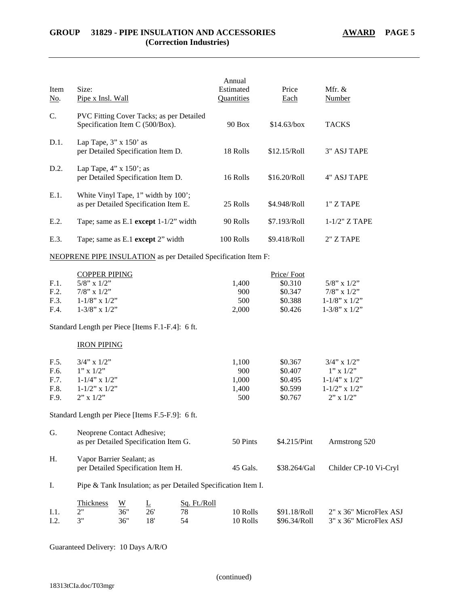| Item<br><u>No</u> .                  | Size:<br>Pipe x Insl. Wall                                                                                                                                       |                               |                 |                          | Annual<br>Estimated<br>Quantities                                     | Price<br>Each                                          | Mfr. &<br>Number                                                                                      |
|--------------------------------------|------------------------------------------------------------------------------------------------------------------------------------------------------------------|-------------------------------|-----------------|--------------------------|-----------------------------------------------------------------------|--------------------------------------------------------|-------------------------------------------------------------------------------------------------------|
| C.                                   | PVC Fitting Cover Tacks; as per Detailed<br>Specification Item C (500/Box).                                                                                      |                               |                 |                          | <b>90 Box</b>                                                         | \$14.63/box                                            | <b>TACKS</b>                                                                                          |
| D.1.                                 | Lap Tape, $3''$ x $150'$ as<br>per Detailed Specification Item D.                                                                                                |                               |                 |                          | 18 Rolls                                                              | \$12.15/Roll                                           | <b>3" ASJ TAPE</b>                                                                                    |
| D.2.                                 | Lap Tape, $4$ " x $150$ "; as<br>per Detailed Specification Item D.                                                                                              |                               |                 |                          | 16 Rolls                                                              | \$16.20/Roll                                           | 4" ASJ TAPE                                                                                           |
| E.1.                                 | White Vinyl Tape, 1" width by 100';<br>as per Detailed Specification Item E.                                                                                     |                               |                 |                          | 25 Rolls                                                              | \$4.948/Roll                                           | 1" Z TAPE                                                                                             |
| E.2.                                 | Tape; same as E.1 except $1-1/2$ " width                                                                                                                         |                               |                 |                          | 90 Rolls                                                              | \$7.193/Roll                                           | $1-1/2$ " Z TAPE                                                                                      |
| E.3.                                 | Tape; same as E.1 except 2" width                                                                                                                                |                               |                 |                          | 100 Rolls                                                             | \$9.418/Roll                                           | 2" Z TAPE                                                                                             |
|                                      |                                                                                                                                                                  |                               |                 |                          | <b>NEOPRENE PIPE INSULATION</b> as per Detailed Specification Item F: |                                                        |                                                                                                       |
| F.1.<br>F.2.<br>F.3.<br>F.4.         | <b>COPPER PIPING</b><br>$5/8$ " x $1/2$ "<br>$7/8$ " x $1/2$ "<br>$1-1/8$ " x $1/2$ "<br>$1-3/8$ " x $1/2$ "<br>Standard Length per Piece [Items F.1-F.4]: 6 ft. |                               |                 |                          | 1,400<br>900<br>500<br>2,000                                          | Price/Foot<br>\$0.310<br>\$0.347<br>\$0.388<br>\$0.426 | $5/8$ " x $1/2$ "<br>$7/8$ " x $1/2$ "<br>$1-1/8$ " x $1/2$ "<br>$1-3/8$ " x $1/2$ "                  |
|                                      | <b>IRON PIPING</b>                                                                                                                                               |                               |                 |                          |                                                                       |                                                        |                                                                                                       |
| F.5.<br>F.6.<br>F.7.<br>F.8.<br>F.9. | $3/4$ " x $1/2$ "<br>$1''$ x $1/2''$<br>$1 - 1/4$ " x $1/2$ "<br>$1 - 1/2$ " x $1/2$ "<br>$2"$ x $1/2"$                                                          |                               |                 |                          | 1,100<br>900<br>1,000<br>1,400<br>500                                 | \$0.367<br>\$0.407<br>\$0.495<br>\$0.599<br>\$0.767    | $3/4$ " x $1/2$ "<br>$1"$ x $1/2"$<br>$1-1/4$ " x $1/2$ "<br>$1 - 1/2$ " x $1/2$ "<br>$2$ " x $1/2$ " |
|                                      | Standard Length per Piece [Items F.5-F.9]: 6 ft.                                                                                                                 |                               |                 |                          |                                                                       |                                                        |                                                                                                       |
| G.                                   | Neoprene Contact Adhesive;<br>as per Detailed Specification Item G.                                                                                              |                               |                 |                          | 50 Pints                                                              | \$4.215/Pint                                           | Armstrong 520                                                                                         |
| Η.                                   | Vapor Barrier Sealant; as<br>per Detailed Specification Item H.                                                                                                  |                               |                 |                          | 45 Gals.                                                              | \$38.264/Gal                                           | Childer CP-10 Vi-Cryl                                                                                 |
| I.                                   |                                                                                                                                                                  |                               |                 |                          | Pipe & Tank Insulation; as per Detailed Specification Item I.         |                                                        |                                                                                                       |
| I.1.<br>I.2.                         | Thickness<br>2"<br>3"                                                                                                                                            | $\underline{W}$<br>36"<br>36" | Ŀ<br>26'<br>18' | Sq. Ft./Roll<br>78<br>54 | 10 Rolls<br>10 Rolls                                                  | \$91.18/Roll<br>\$96.34/Roll                           | 2" x 36" MicroFlex ASJ<br>3" x 36" MicroFlex ASJ                                                      |

Guaranteed Delivery: 10 Days A/R/O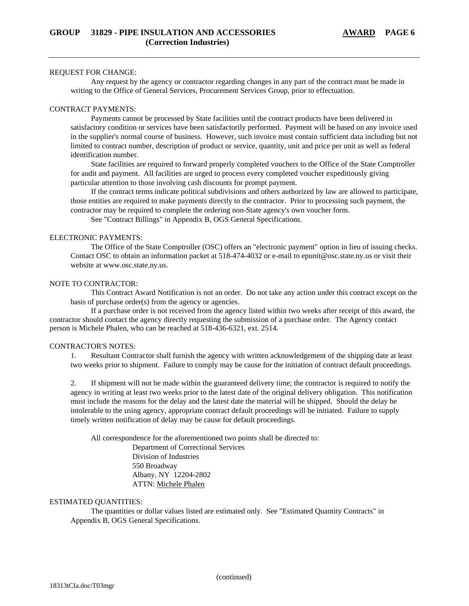#### REQUEST FOR CHANGE:

Any request by the agency or contractor regarding changes in any part of the contract must be made in writing to the Office of General Services, Procurement Services Group, prior to effectuation.

# CONTRACT PAYMENTS:

Payments cannot be processed by State facilities until the contract products have been delivered in satisfactory condition or services have been satisfactorily performed. Payment will be based on any invoice used in the supplier's normal course of business. However, such invoice must contain sufficient data including but not limited to contract number, description of product or service, quantity, unit and price per unit as well as federal identification number.

State facilities are required to forward properly completed vouchers to the Office of the State Comptroller for audit and payment. All facilities are urged to process every completed voucher expeditiously giving particular attention to those involving cash discounts for prompt payment.

If the contract terms indicate political subdivisions and others authorized by law are allowed to participate, those entities are required to make payments directly to the contractor. Prior to processing such payment, the contractor may be required to complete the ordering non-State agency's own voucher form.

See "Contract Billings" in Appendix B, OGS General Specifications.

#### ELECTRONIC PAYMENTS:

The Office of the State Comptroller (OSC) offers an "electronic payment" option in lieu of issuing checks. Contact OSC to obtain an information packet at 518-474-4032 or e-mail to epunit@osc.state.ny.us or visit their website at www.osc.state.ny.us.

### NOTE TO CONTRACTOR:

This Contract Award Notification is not an order. Do not take any action under this contract except on the basis of purchase order(s) from the agency or agencies.

If a purchase order is not received from the agency listed within two weeks after receipt of this award, the contractor should contact the agency directly requesting the submission of a purchase order. The Agency contact person is Michele Phalen, who can be reached at 518-436-6321, ext. 2514.

### CONTRACTOR'S NOTES:

1. Resultant Contractor shall furnish the agency with written acknowledgement of the shipping date at least two weeks prior to shipment. Failure to comply may be cause for the initiation of contract default proceedings.

2. If shipment will not be made within the guaranteed delivery time; the contractor is required to notify the agency in writing at least two weeks prior to the latest date of the original delivery obligation. This notification must include the reasons for the delay and the latest date the material will be shipped. Should the delay be intolerable to the using agency, appropriate contract default proceedings will be initiated. Failure to supply timely written notification of delay may be cause for default proceedings.

All correspondence for the aforementioned two points shall be directed to:

Department of Correctional Services Division of Industries 550 Broadway Albany, NY 12204-2802 ATTN: Michele Phalen

### ESTIMATED QUANTITIES:

The quantities or dollar values listed are estimated only. See "Estimated Quantity Contracts" in Appendix B, OGS General Specifications.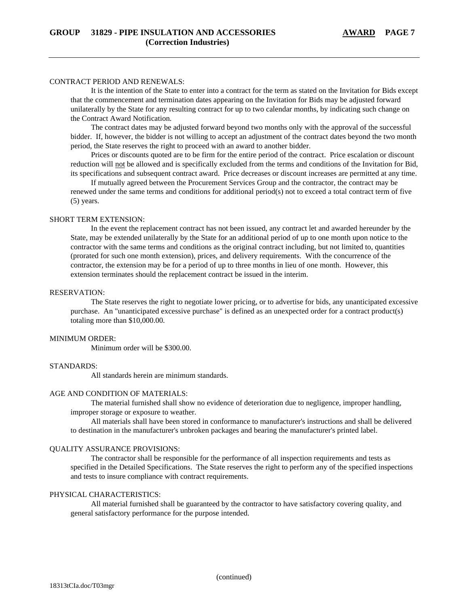#### CONTRACT PERIOD AND RENEWALS:

It is the intention of the State to enter into a contract for the term as stated on the Invitation for Bids except that the commencement and termination dates appearing on the Invitation for Bids may be adjusted forward unilaterally by the State for any resulting contract for up to two calendar months, by indicating such change on the Contract Award Notification.

The contract dates may be adjusted forward beyond two months only with the approval of the successful bidder. If, however, the bidder is not willing to accept an adjustment of the contract dates beyond the two month period, the State reserves the right to proceed with an award to another bidder.

Prices or discounts quoted are to be firm for the entire period of the contract. Price escalation or discount reduction will not be allowed and is specifically excluded from the terms and conditions of the Invitation for Bid, its specifications and subsequent contract award. Price decreases or discount increases are permitted at any time.

If mutually agreed between the Procurement Services Group and the contractor, the contract may be renewed under the same terms and conditions for additional period(s) not to exceed a total contract term of five (5) years.

#### SHORT TERM EXTENSION:

In the event the replacement contract has not been issued, any contract let and awarded hereunder by the State, may be extended unilaterally by the State for an additional period of up to one month upon notice to the contractor with the same terms and conditions as the original contract including, but not limited to, quantities (prorated for such one month extension), prices, and delivery requirements. With the concurrence of the contractor, the extension may be for a period of up to three months in lieu of one month. However, this extension terminates should the replacement contract be issued in the interim.

#### RESERVATION:

The State reserves the right to negotiate lower pricing, or to advertise for bids, any unanticipated excessive purchase. An "unanticipated excessive purchase" is defined as an unexpected order for a contract product(s) totaling more than \$10,000.00.

#### MINIMUM ORDER:

Minimum order will be \$300.00.

# STANDARDS:

All standards herein are minimum standards.

#### AGE AND CONDITION OF MATERIALS:

The material furnished shall show no evidence of deterioration due to negligence, improper handling, improper storage or exposure to weather.

All materials shall have been stored in conformance to manufacturer's instructions and shall be delivered to destination in the manufacturer's unbroken packages and bearing the manufacturer's printed label.

#### QUALITY ASSURANCE PROVISIONS:

The contractor shall be responsible for the performance of all inspection requirements and tests as specified in the Detailed Specifications. The State reserves the right to perform any of the specified inspections and tests to insure compliance with contract requirements.

## PHYSICAL CHARACTERISTICS:

All material furnished shall be guaranteed by the contractor to have satisfactory covering quality, and general satisfactory performance for the purpose intended.